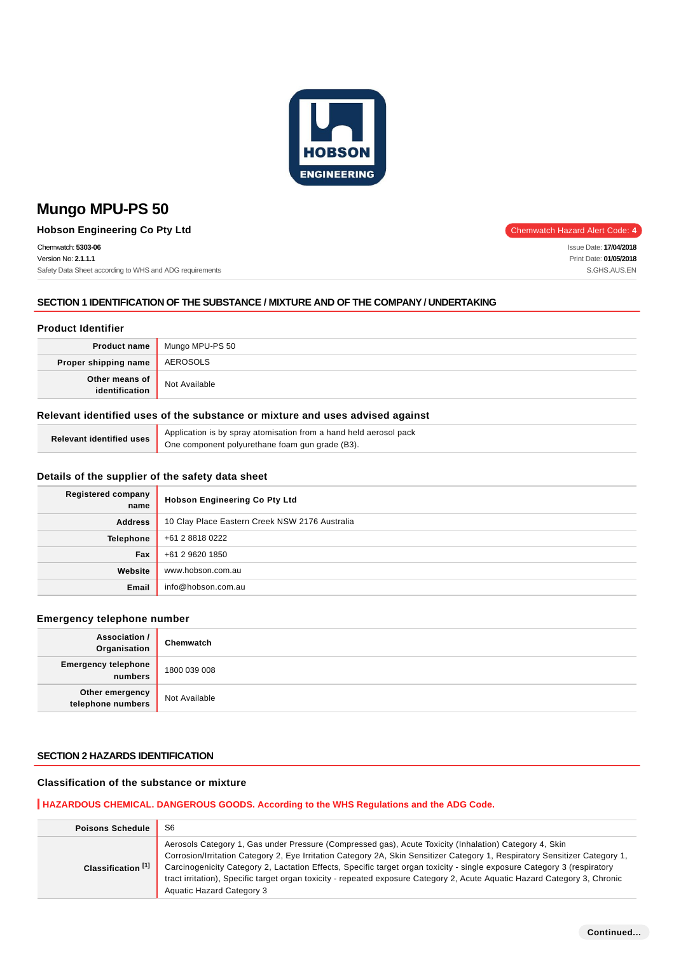

**Hobson Engineering Co Pty Ltd** Chemwatch Hazard Alert Code: 4

Chemwatch: **5303-06**

Version No: **2.1.1.1** Safety Data Sheet according to WHS and ADG requirements

## **SECTION 1 IDENTIFICATION OF THE SUBSTANCE / MIXTURE AND OF THE COMPANY / UNDERTAKING**

## **Product Identifier**

|                                      | <b>Product name</b> Mungo MPU-PS 50 |
|--------------------------------------|-------------------------------------|
| <b>Proper shipping name AEROSOLS</b> |                                     |
| Other means of<br>identification     | Not Available                       |

# **Relevant identified uses of the substance or mixture and uses advised against**

| Relevant identified uses | Application is by spray atomisation from a hand held aerosol pack |
|--------------------------|-------------------------------------------------------------------|
|                          | One component polyurethane foam gun grade (B3).                   |

## **Details of the supplier of the safety data sheet**

| Registered company<br>name | <b>Hobson Engineering Co Pty Ltd</b>           |
|----------------------------|------------------------------------------------|
| <b>Address</b>             | 10 Clay Place Eastern Creek NSW 2176 Australia |
| <b>Telephone</b>           | +61 2 8818 0222                                |
| Fax                        | +61 2 9620 1850                                |
| Website                    | www.hobson.com.au                              |
| Email                      | info@hobson.com.au                             |

## **Emergency telephone number**

| Association /<br>Organisation         | Chemwatch     |
|---------------------------------------|---------------|
| <b>Emergency telephone</b><br>numbers | 1800 039 008  |
| Other emergency<br>telephone numbers  | Not Available |

## **SECTION 2 HAZARDS IDENTIFICATION**

# **Classification of the substance or mixture**

## **HAZARDOUS CHEMICAL. DANGEROUS GOODS. According to the WHS Regulations and the ADG Code.**

| <b>Poisons Schedule</b>       | S <sub>6</sub>                                                                                                                                                                                                                                                                                                                                                                                                                                                                                                                     |
|-------------------------------|------------------------------------------------------------------------------------------------------------------------------------------------------------------------------------------------------------------------------------------------------------------------------------------------------------------------------------------------------------------------------------------------------------------------------------------------------------------------------------------------------------------------------------|
| Classification <sup>[1]</sup> | Aerosols Category 1, Gas under Pressure (Compressed gas), Acute Toxicity (Inhalation) Category 4, Skin<br>Corrosion/Irritation Category 2, Eye Irritation Category 2A, Skin Sensitizer Category 1, Respiratory Sensitizer Category 1,<br>Carcinogenicity Category 2, Lactation Effects, Specific target organ toxicity - single exposure Category 3 (respiratory<br>tract irritation), Specific target organ toxicity - repeated exposure Category 2, Acute Aquatic Hazard Category 3, Chronic<br><b>Aquatic Hazard Category 3</b> |

Issue Date: **17/04/2018** Print Date: **01/05/2018** S.GHS.AUS.EN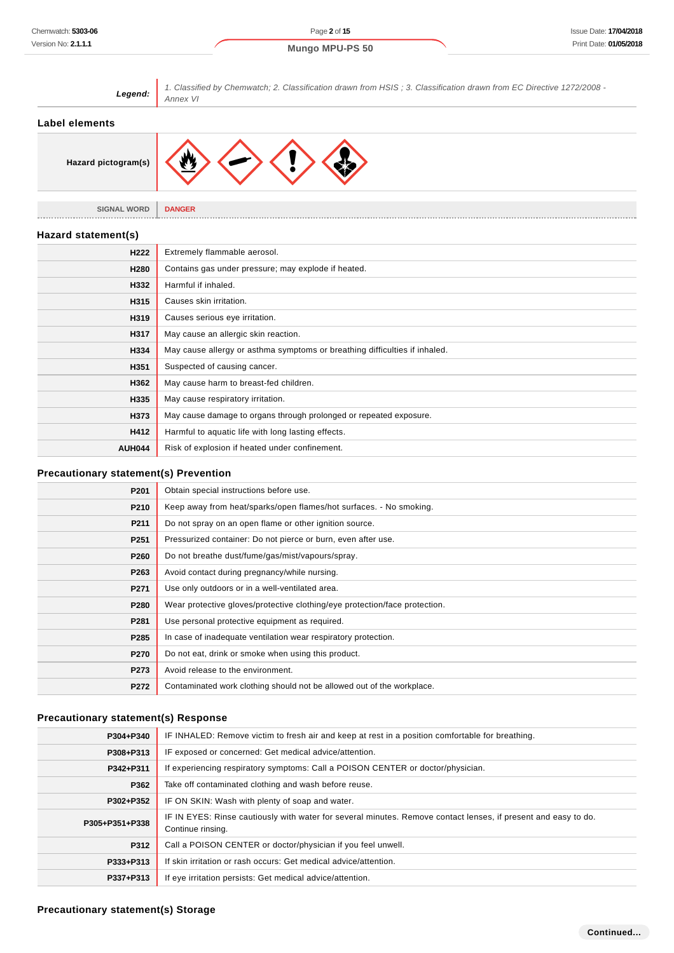

| <b>Precautionary statement(s) Response</b> |  |
|--------------------------------------------|--|

**P263** Avoid contact during pregnancy/while nursing. **P271** Use only outdoors or in a well-ventilated area.

**P281** Use personal protective equipment as required.

**P273** Avoid release to the environment.

**P270** Do not eat, drink or smoke when using this product.

**P285** In case of inadequate ventilation wear respiratory protection.

**P280** Wear protective gloves/protective clothing/eye protection/face protection.

**P272** Contaminated work clothing should not be allowed out of the workplace.

| P304+P340      | IF INHALED: Remove victim to fresh air and keep at rest in a position comfortable for breathing.                                    |
|----------------|-------------------------------------------------------------------------------------------------------------------------------------|
| P308+P313      | IF exposed or concerned: Get medical advice/attention.                                                                              |
| P342+P311      | If experiencing respiratory symptoms: Call a POISON CENTER or doctor/physician.                                                     |
| P362           | Take off contaminated clothing and wash before reuse.                                                                               |
| P302+P352      | IF ON SKIN: Wash with plenty of soap and water.                                                                                     |
| P305+P351+P338 | IF IN EYES: Rinse cautiously with water for several minutes. Remove contact lenses, if present and easy to do.<br>Continue rinsing. |
| P312           | Call a POISON CENTER or doctor/physician if you feel unwell.                                                                        |
| P333+P313      | If skin irritation or rash occurs: Get medical advice/attention.                                                                    |
| P337+P313      | If eye irritation persists: Get medical advice/attention.                                                                           |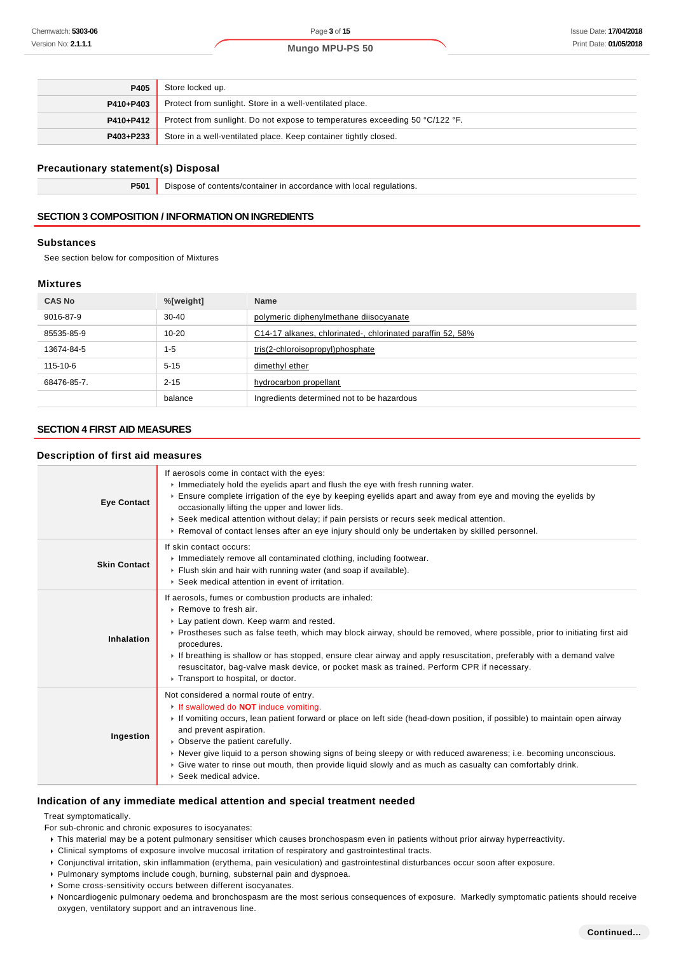| P405      | Store locked up.                                                             |
|-----------|------------------------------------------------------------------------------|
| P410+P403 | Protect from sunlight. Store in a well-ventilated place.                     |
| P410+P412 | Protect from sunlight. Do not expose to temperatures exceeding 50 °C/122 °F. |
| P403+P233 | Store in a well-ventilated place. Keep container tightly closed.             |

#### **Precautionary statement(s) Disposal**

**P501** Dispose of contents/container in accordance with local regulations.

# **SECTION 3 COMPOSITION / INFORMATION ON INGREDIENTS**

#### **Substances**

See section below for composition of Mixtures

## **Mixtures**

| <b>CAS No</b> | %[weight] | <b>Name</b>                                                |
|---------------|-----------|------------------------------------------------------------|
| 9016-87-9     | $30 - 40$ | polymeric diphenylmethane diisocyanate                     |
| 85535-85-9    | $10 - 20$ | C14-17 alkanes, chlorinated-, chlorinated paraffin 52, 58% |
| 13674-84-5    | $1 - 5$   | tris(2-chloroisopropyl)phosphate                           |
| 115-10-6      | $5 - 15$  | dimethyl ether                                             |
| 68476-85-7.   | $2 - 15$  | hydrocarbon propellant                                     |
|               | balance   | Ingredients determined not to be hazardous                 |

# **SECTION 4 FIRST AID MEASURES**

# **Description of first aid measures**

| <b>Eye Contact</b>  | If aerosols come in contact with the eyes:<br>Immediately hold the eyelids apart and flush the eye with fresh running water.<br>▶ Ensure complete irrigation of the eye by keeping eyelids apart and away from eye and moving the eyelids by<br>occasionally lifting the upper and lower lids.<br>► Seek medical attention without delay; if pain persists or recurs seek medical attention.<br>► Removal of contact lenses after an eye injury should only be undertaken by skilled personnel.                                                  |
|---------------------|--------------------------------------------------------------------------------------------------------------------------------------------------------------------------------------------------------------------------------------------------------------------------------------------------------------------------------------------------------------------------------------------------------------------------------------------------------------------------------------------------------------------------------------------------|
| <b>Skin Contact</b> | If skin contact occurs:<br>Immediately remove all contaminated clothing, including footwear.<br>Flush skin and hair with running water (and soap if available).<br>▶ Seek medical attention in event of irritation.                                                                                                                                                                                                                                                                                                                              |
| Inhalation          | If aerosols, fumes or combustion products are inhaled:<br>$\triangleright$ Remove to fresh air.<br>Lay patient down. Keep warm and rested.<br>▶ Prostheses such as false teeth, which may block airway, should be removed, where possible, prior to initiating first aid<br>procedures.<br>If breathing is shallow or has stopped, ensure clear airway and apply resuscitation, preferably with a demand valve<br>resuscitator, bag-valve mask device, or pocket mask as trained. Perform CPR if necessary.<br>Transport to hospital, or doctor. |
| Ingestion           | Not considered a normal route of entry.<br>If swallowed do <b>NOT</b> induce vomiting.<br>If vomiting occurs, lean patient forward or place on left side (head-down position, if possible) to maintain open airway<br>and prevent aspiration.<br>• Observe the patient carefully.<br>► Never give liquid to a person showing signs of being sleepy or with reduced awareness; i.e. becoming unconscious.<br>► Give water to rinse out mouth, then provide liquid slowly and as much as casualty can comfortably drink.<br>▶ Seek medical advice. |

#### **Indication of any immediate medical attention and special treatment needed**

Treat symptomatically.

- For sub-chronic and chronic exposures to isocyanates:
- This material may be a potent pulmonary sensitiser which causes bronchospasm even in patients without prior airway hyperreactivity.
- Clinical symptoms of exposure involve mucosal irritation of respiratory and gastrointestinal tracts.
- Conjunctival irritation, skin inflammation (erythema, pain vesiculation) and gastrointestinal disturbances occur soon after exposure.
- Pulmonary symptoms include cough, burning, substernal pain and dyspnoea.
- Some cross-sensitivity occurs between different isocyanates.
- Noncardiogenic pulmonary oedema and bronchospasm are the most serious consequences of exposure. Markedly symptomatic patients should receive oxygen, ventilatory support and an intravenous line.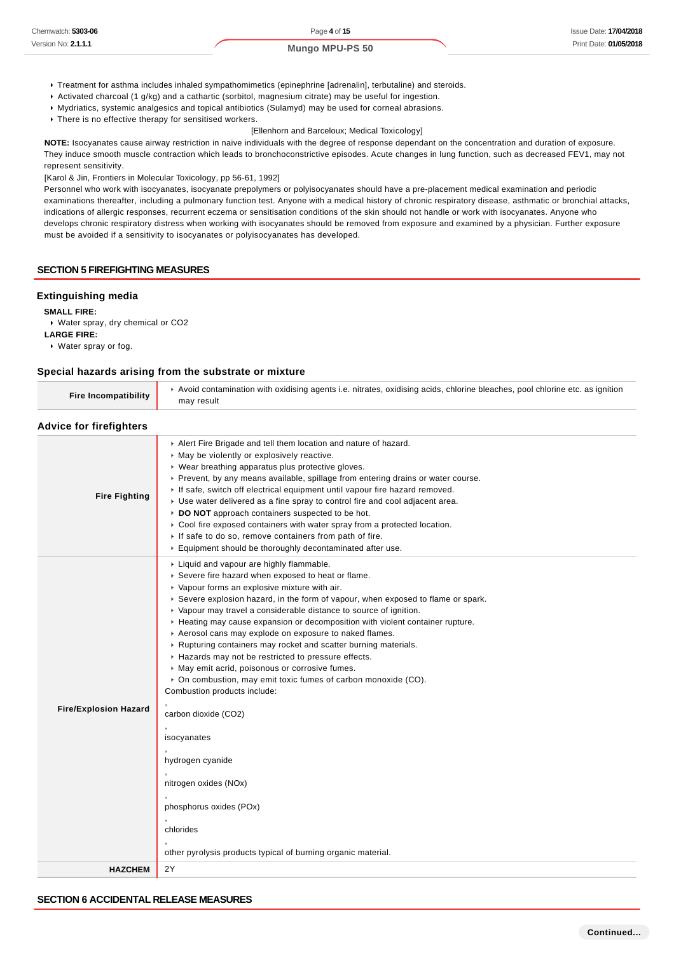- Treatment for asthma includes inhaled sympathomimetics (epinephrine [adrenalin], terbutaline) and steroids.
- Activated charcoal (1 g/kg) and a cathartic (sorbitol, magnesium citrate) may be useful for ingestion.
- Mydriatics, systemic analgesics and topical antibiotics (Sulamyd) may be used for corneal abrasions.
- $\cdot$  There is no effective therapy for sensitised workers.

#### [Ellenhorn and Barceloux; Medical Toxicology]

**NOTE:** Isocyanates cause airway restriction in naive individuals with the degree of response dependant on the concentration and duration of exposure. They induce smooth muscle contraction which leads to bronchoconstrictive episodes. Acute changes in lung function, such as decreased FEV1, may not represent sensitivity.

[Karol & Jin, Frontiers in Molecular Toxicology, pp 56-61, 1992]

Personnel who work with isocyanates, isocyanate prepolymers or polyisocyanates should have a pre-placement medical examination and periodic examinations thereafter, including a pulmonary function test. Anyone with a medical history of chronic respiratory disease, asthmatic or bronchial attacks, indications of allergic responses, recurrent eczema or sensitisation conditions of the skin should not handle or work with isocyanates. Anyone who develops chronic respiratory distress when working with isocyanates should be removed from exposure and examined by a physician. Further exposure must be avoided if a sensitivity to isocyanates or polyisocyanates has developed.

#### **SECTION 5 FIREFIGHTING MEASURES**

#### **Extinguishing media**

**SMALL FIRE:**

Water spray, dry chemical or CO2

**LARGE FIRE:**

Water spray or fog.

#### **Special hazards arising from the substrate or mixture**

| <b>Fire Incompatibility</b>    | ► Avoid contamination with oxidising agents i.e. nitrates, oxidising acids, chlorine bleaches, pool chlorine etc. as ignition<br>may result                                                                                                                                                                                                                                                                                                                                                                                                                                                                                                                                                                                                                                                                                                                                                                                       |
|--------------------------------|-----------------------------------------------------------------------------------------------------------------------------------------------------------------------------------------------------------------------------------------------------------------------------------------------------------------------------------------------------------------------------------------------------------------------------------------------------------------------------------------------------------------------------------------------------------------------------------------------------------------------------------------------------------------------------------------------------------------------------------------------------------------------------------------------------------------------------------------------------------------------------------------------------------------------------------|
| <b>Advice for firefighters</b> |                                                                                                                                                                                                                                                                                                                                                                                                                                                                                                                                                                                                                                                                                                                                                                                                                                                                                                                                   |
| <b>Fire Fighting</b>           | Alert Fire Brigade and tell them location and nature of hazard.<br>• May be violently or explosively reactive.<br>• Wear breathing apparatus plus protective gloves.<br>Prevent, by any means available, spillage from entering drains or water course.<br>If safe, switch off electrical equipment until vapour fire hazard removed.<br>Use water delivered as a fine spray to control fire and cool adjacent area.<br>DO NOT approach containers suspected to be hot.<br>$\triangleright$ Cool fire exposed containers with water spray from a protected location.<br>If safe to do so, remove containers from path of fire.<br>Equipment should be thoroughly decontaminated after use.                                                                                                                                                                                                                                        |
| <b>Fire/Explosion Hazard</b>   | ▶ Liquid and vapour are highly flammable.<br>Severe fire hazard when exposed to heat or flame.<br>• Vapour forms an explosive mixture with air.<br>► Severe explosion hazard, in the form of vapour, when exposed to flame or spark.<br>• Vapour may travel a considerable distance to source of ignition.<br>► Heating may cause expansion or decomposition with violent container rupture.<br>Aerosol cans may explode on exposure to naked flames.<br>▶ Rupturing containers may rocket and scatter burning materials.<br>Hazards may not be restricted to pressure effects.<br>• May emit acrid, poisonous or corrosive fumes.<br>• On combustion, may emit toxic fumes of carbon monoxide (CO).<br>Combustion products include:<br>carbon dioxide (CO2)<br>isocyanates<br>hydrogen cyanide<br>nitrogen oxides (NOx)<br>phosphorus oxides (POx)<br>chlorides<br>other pyrolysis products typical of burning organic material. |
| <b>HAZCHEM</b>                 | 2Y                                                                                                                                                                                                                                                                                                                                                                                                                                                                                                                                                                                                                                                                                                                                                                                                                                                                                                                                |
|                                |                                                                                                                                                                                                                                                                                                                                                                                                                                                                                                                                                                                                                                                                                                                                                                                                                                                                                                                                   |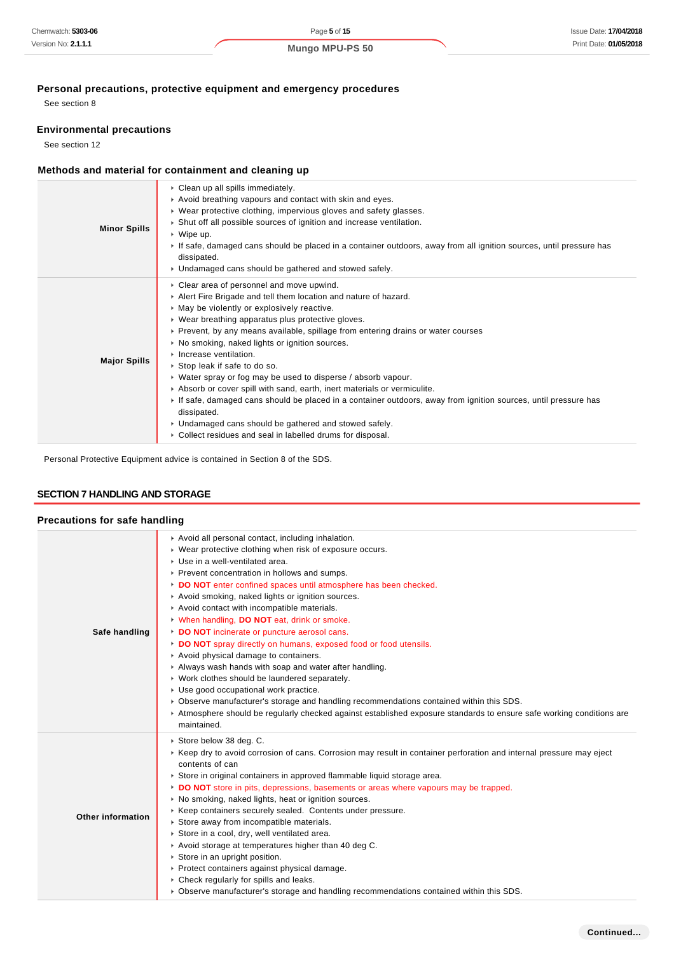# **Personal precautions, protective equipment and emergency procedures**

See section 8

# **Environmental precautions**

See section 12

# **Methods and material for containment and cleaning up**

| <b>Minor Spills</b> | Clean up all spills immediately.<br>Avoid breathing vapours and contact with skin and eyes.<br>• Wear protective clothing, impervious gloves and safety glasses.<br>▶ Shut off all possible sources of ignition and increase ventilation.<br>$\cdot$ Wipe up.<br>If safe, damaged cans should be placed in a container outdoors, away from all ignition sources, until pressure has<br>dissipated.<br>• Undamaged cans should be gathered and stowed safely.                                                                                                                                                                                                                                                                                                                                                           |
|---------------------|------------------------------------------------------------------------------------------------------------------------------------------------------------------------------------------------------------------------------------------------------------------------------------------------------------------------------------------------------------------------------------------------------------------------------------------------------------------------------------------------------------------------------------------------------------------------------------------------------------------------------------------------------------------------------------------------------------------------------------------------------------------------------------------------------------------------|
| <b>Major Spills</b> | Clear area of personnel and move upwind.<br>Alert Fire Brigade and tell them location and nature of hazard.<br>• May be violently or explosively reactive.<br>• Wear breathing apparatus plus protective gloves.<br>► Prevent, by any means available, spillage from entering drains or water courses<br>▶ No smoking, naked lights or ignition sources.<br>Increase ventilation.<br>▶ Stop leak if safe to do so.<br>• Water spray or fog may be used to disperse / absorb vapour.<br>Absorb or cover spill with sand, earth, inert materials or vermiculite.<br>If safe, damaged cans should be placed in a container outdoors, away from ignition sources, until pressure has<br>dissipated.<br>• Undamaged cans should be gathered and stowed safely.<br>Collect residues and seal in labelled drums for disposal. |

Personal Protective Equipment advice is contained in Section 8 of the SDS.

# **SECTION 7 HANDLING AND STORAGE**

# **Precautions for safe handling**

| Safe handling            | Avoid all personal contact, including inhalation.<br>▶ Wear protective clothing when risk of exposure occurs.<br>Use in a well-ventilated area.<br>▶ Prevent concentration in hollows and sumps.<br>DO NOT enter confined spaces until atmosphere has been checked.<br>Avoid smoking, naked lights or ignition sources.<br>Avoid contact with incompatible materials.<br>V When handling, DO NOT eat, drink or smoke.<br>DO NOT incinerate or puncture aerosol cans.<br>DO NOT spray directly on humans, exposed food or food utensils.<br>Avoid physical damage to containers.<br>Always wash hands with soap and water after handling.<br>• Work clothes should be laundered separately.<br>Use good occupational work practice.<br>▶ Observe manufacturer's storage and handling recommendations contained within this SDS.<br>Atmosphere should be regularly checked against established exposure standards to ensure safe working conditions are<br>maintained. |
|--------------------------|----------------------------------------------------------------------------------------------------------------------------------------------------------------------------------------------------------------------------------------------------------------------------------------------------------------------------------------------------------------------------------------------------------------------------------------------------------------------------------------------------------------------------------------------------------------------------------------------------------------------------------------------------------------------------------------------------------------------------------------------------------------------------------------------------------------------------------------------------------------------------------------------------------------------------------------------------------------------|
| <b>Other information</b> | Store below 38 deg. C.<br>► Keep dry to avoid corrosion of cans. Corrosion may result in container perforation and internal pressure may eject<br>contents of can<br>Store in original containers in approved flammable liquid storage area.<br>DO NOT store in pits, depressions, basements or areas where vapours may be trapped.<br>No smoking, naked lights, heat or ignition sources.<br>Keep containers securely sealed. Contents under pressure.<br>Store away from incompatible materials.<br>Store in a cool, dry, well ventilated area.<br>Avoid storage at temperatures higher than 40 deg C.<br>Store in an upright position.<br>▶ Protect containers against physical damage.<br>• Check regularly for spills and leaks.<br>▶ Observe manufacturer's storage and handling recommendations contained within this SDS.                                                                                                                                    |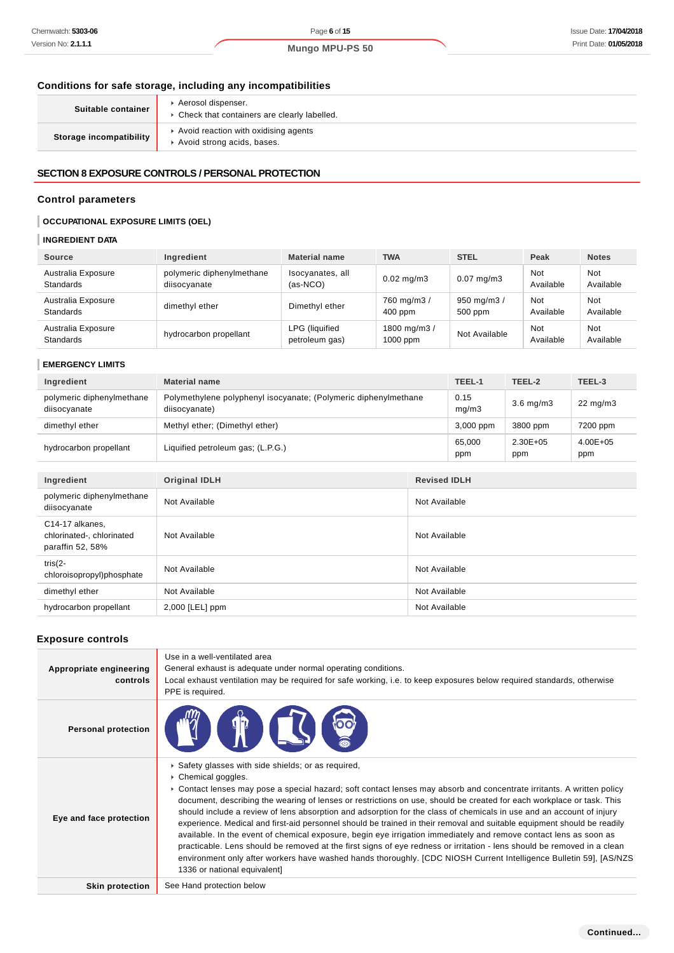L

## **Conditions for safe storage, including any incompatibilities**

| Suitable container      | Aerosol dispenser.<br>• Check that containers are clearly labelled. |
|-------------------------|---------------------------------------------------------------------|
| Storage incompatibility | Avoid reaction with oxidising agents<br>Avoid strong acids, bases.  |

# **SECTION 8 EXPOSURE CONTROLS / PERSONAL PROTECTION**

#### **Control parameters**

## **OCCUPATIONAL EXPOSURE LIMITS (OEL)**

# **INGREDIENT DATA**

| <b>Source</b>                          | Ingredient                                | <b>Material name</b>                    | <b>TWA</b>                 | <b>STEL</b>            | Peak             | <b>Notes</b>     |
|----------------------------------------|-------------------------------------------|-----------------------------------------|----------------------------|------------------------|------------------|------------------|
| Australia Exposure<br><b>Standards</b> | polymeric diphenylmethane<br>diisocyanate | Isocyanates, all<br>$(as-NCO)$          | $0.02 \text{ mg/m}$ 3      | $0.07$ mg/m $3$        | Not<br>Available | Not<br>Available |
| Australia Exposure<br><b>Standards</b> | dimethyl ether                            | Dimethyl ether                          | 760 mg/m3 /<br>$400$ ppm   | 950 mg/m3 /<br>500 ppm | Not<br>Available | Not<br>Available |
| Australia Exposure<br><b>Standards</b> | hydrocarbon propellant                    | <b>LPG</b> (liquified<br>petroleum gas) | 1800 mg/m3 /<br>$1000$ ppm | Not Available          | Not<br>Available | Not<br>Available |

## **EMERGENCY LIMITS**

| Ingredient                                | <b>Material name</b>                                                             |                     | TEEL-1        | TEEL-2               | TEEL-3               |
|-------------------------------------------|----------------------------------------------------------------------------------|---------------------|---------------|----------------------|----------------------|
| polymeric diphenylmethane<br>diisocyanate | Polymethylene polyphenyl isocyanate; (Polymeric diphenylmethane<br>diisocyanate) |                     | 0.15<br>mq/m3 | $3.6$ mg/m $3$       | $22 \text{ mg/m}$    |
| dimethyl ether                            | Methyl ether; (Dimethyl ether)                                                   |                     | 3,000 ppm     | 3800 ppm             | 7200 ppm             |
| hydrocarbon propellant                    | Liquified petroleum gas; (L.P.G.)                                                |                     | 65.000<br>ppm | $2.30E + 0.5$<br>ppm | $4.00E + 0.5$<br>ppm |
|                                           |                                                                                  |                     |               |                      |                      |
| Ingredient                                | <b>Original IDLH</b>                                                             | <b>Revised IDLH</b> |               |                      |                      |
| polymeric diphenylmethane<br>diisocyanate | Not Available                                                                    | Not Available       |               |                      |                      |

| C14-17 alkanes,<br>chlorinated-, chlorinated<br>paraffin 52, 58% | Not Available     | Not Available |
|------------------------------------------------------------------|-------------------|---------------|
| tris $(2 -$<br>chloroisopropyl)phosphate                         | Not Available     | Not Available |
| dimethyl ether                                                   | Not Available     | Not Available |
| hydrocarbon propellant                                           | $2,000$ [LEL] ppm | Not Available |

## **Exposure controls**

| Appropriate engineering<br>controls | Use in a well-ventilated area<br>General exhaust is adequate under normal operating conditions.<br>Local exhaust ventilation may be required for safe working, i.e. to keep exposures below required standards, otherwise<br>PPE is required.                                                                                                                                                                                                                                                                                                                                                                                                                                                                                                                                                                                                                                                                                                                                      |
|-------------------------------------|------------------------------------------------------------------------------------------------------------------------------------------------------------------------------------------------------------------------------------------------------------------------------------------------------------------------------------------------------------------------------------------------------------------------------------------------------------------------------------------------------------------------------------------------------------------------------------------------------------------------------------------------------------------------------------------------------------------------------------------------------------------------------------------------------------------------------------------------------------------------------------------------------------------------------------------------------------------------------------|
| <b>Personal protection</b>          | <b>STOCKS</b>                                                                                                                                                                                                                                                                                                                                                                                                                                                                                                                                                                                                                                                                                                                                                                                                                                                                                                                                                                      |
| Eye and face protection             | Safety glasses with side shields; or as required,<br>Chemical goggles.<br>► Contact lenses may pose a special hazard; soft contact lenses may absorb and concentrate irritants. A written policy<br>document, describing the wearing of lenses or restrictions on use, should be created for each workplace or task. This<br>should include a review of lens absorption and adsorption for the class of chemicals in use and an account of injury<br>experience. Medical and first-aid personnel should be trained in their removal and suitable equipment should be readily<br>available. In the event of chemical exposure, begin eye irrigation immediately and remove contact lens as soon as<br>practicable. Lens should be removed at the first signs of eye redness or irritation - lens should be removed in a clean<br>environment only after workers have washed hands thoroughly. [CDC NIOSH Current Intelligence Bulletin 59], [AS/NZS<br>1336 or national equivalent] |
| <b>Skin protection</b>              | See Hand protection below                                                                                                                                                                                                                                                                                                                                                                                                                                                                                                                                                                                                                                                                                                                                                                                                                                                                                                                                                          |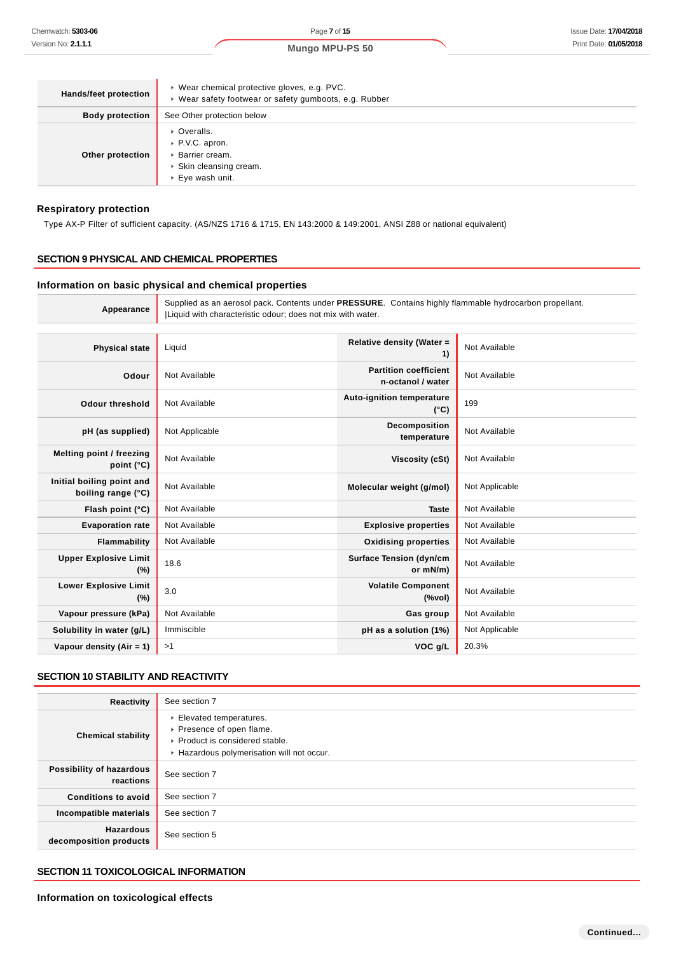| <b>Hands/feet protection</b> | ▶ Wear chemical protective gloves, e.g. PVC.<br>▶ Wear safety footwear or safety gumboots, e.g. Rubber |  |
|------------------------------|--------------------------------------------------------------------------------------------------------|--|
| <b>Body protection</b>       | See Other protection below                                                                             |  |
| Other protection             | • Overalls.<br>▶ P.V.C. apron.<br>▶ Barrier cream.<br>▶ Skin cleansing cream.<br>▶ Eye wash unit.      |  |

#### **Respiratory protection**

Type AX-P Filter of sufficient capacity. (AS/NZS 1716 & 1715, EN 143:2000 & 149:2001, ANSI Z88 or national equivalent)

## **SECTION 9 PHYSICAL AND CHEMICAL PROPERTIES**

#### **Information on basic physical and chemical properties**

**Appearance** Supplied as an aerosol pack. Contents under **PRESSURE**. Contains highly flammable hydrocarbon propellant. |Liquid with characteristic odour; does not mix with water.

| <b>Physical state</b>                           | Liquid         | Relative density (Water =<br>1)                                                    | Not Available  |
|-------------------------------------------------|----------------|------------------------------------------------------------------------------------|----------------|
| Odour                                           | Not Available  | <b>Partition coefficient</b><br>n-octanol / water                                  | Not Available  |
| <b>Odour threshold</b>                          | Not Available  | <b>Auto-ignition temperature</b><br>$(^{\circ}C)$                                  | 199            |
| pH (as supplied)                                | Not Applicable | Decomposition<br>temperature                                                       | Not Available  |
| Melting point / freezing<br>point $(^{\circ}C)$ | Not Available  | Viscosity (cSt)                                                                    | Not Available  |
| Initial boiling point and<br>boiling range (°C) | Not Available  | Molecular weight (g/mol)                                                           | Not Applicable |
| Flash point (°C)                                | Not Available  | <b>Taste</b>                                                                       | Not Available  |
| <b>Evaporation rate</b>                         | Not Available  | <b>Explosive properties</b>                                                        | Not Available  |
| Flammability                                    | Not Available  | <b>Oxidising properties</b>                                                        | Not Available  |
| <b>Upper Explosive Limit</b><br>$(\%)$          | 18.6           | <b>Surface Tension (dyn/cm</b><br>or mN/m)                                         | Not Available  |
| <b>Lower Explosive Limit</b><br>$(\%)$          | 3.0            | <b>Volatile Component</b><br>$(% \mathcal{L}^{\prime }\cap \mathcal{L}^{\prime })$ | Not Available  |
| Vapour pressure (kPa)                           | Not Available  | Gas group                                                                          | Not Available  |
| Solubility in water (g/L)                       | Immiscible     | pH as a solution (1%)                                                              | Not Applicable |
| Vapour density (Air = 1)                        | >1             | VOC g/L                                                                            | 20.3%          |

#### **SECTION 10 STABILITY AND REACTIVITY**

| Reactivity                                 | See section 7                                                                                                                      |
|--------------------------------------------|------------------------------------------------------------------------------------------------------------------------------------|
| <b>Chemical stability</b>                  | Elevated temperatures.<br>▶ Presence of open flame.<br>▶ Product is considered stable.<br>Hazardous polymerisation will not occur. |
| Possibility of hazardous<br>reactions      | See section 7                                                                                                                      |
| <b>Conditions to avoid</b>                 | See section 7                                                                                                                      |
| Incompatible materials                     | See section 7                                                                                                                      |
| <b>Hazardous</b><br>decomposition products | See section 5                                                                                                                      |

# **SECTION 11 TOXICOLOGICAL INFORMATION**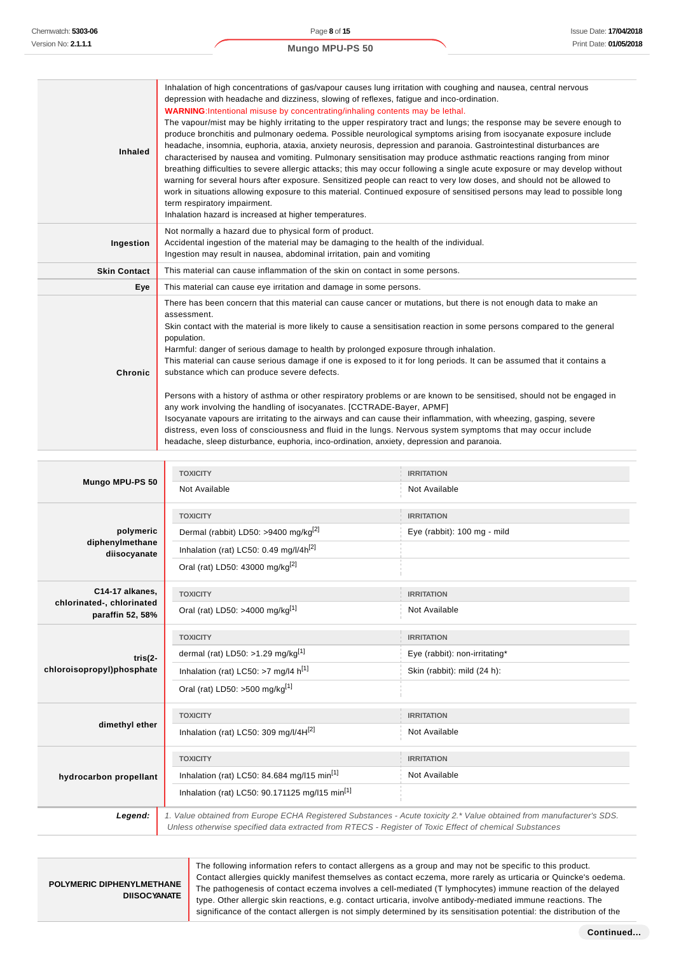| <b>Inhaled</b>      | Inhalation of high concentrations of gas/vapour causes lung irritation with coughing and nausea, central nervous<br>depression with headache and dizziness, slowing of reflexes, fatigue and inco-ordination.<br><b>WARNING:</b> Intentional misuse by concentrating/inhaling contents may be lethal.<br>The vapour/mist may be highly irritating to the upper respiratory tract and lungs; the response may be severe enough to<br>produce bronchitis and pulmonary oedema. Possible neurological symptoms arising from isocyanate exposure include<br>headache, insomnia, euphoria, ataxia, anxiety neurosis, depression and paranoia. Gastrointestinal disturbances are<br>characterised by nausea and vomiting. Pulmonary sensitisation may produce asthmatic reactions ranging from minor<br>breathing difficulties to severe allergic attacks; this may occur following a single acute exposure or may develop without<br>warning for several hours after exposure. Sensitized people can react to very low doses, and should not be allowed to<br>work in situations allowing exposure to this material. Continued exposure of sensitised persons may lead to possible long<br>term respiratory impairment.<br>Inhalation hazard is increased at higher temperatures. |
|---------------------|------------------------------------------------------------------------------------------------------------------------------------------------------------------------------------------------------------------------------------------------------------------------------------------------------------------------------------------------------------------------------------------------------------------------------------------------------------------------------------------------------------------------------------------------------------------------------------------------------------------------------------------------------------------------------------------------------------------------------------------------------------------------------------------------------------------------------------------------------------------------------------------------------------------------------------------------------------------------------------------------------------------------------------------------------------------------------------------------------------------------------------------------------------------------------------------------------------------------------------------------------------------------------|
| Ingestion           | Not normally a hazard due to physical form of product.<br>Accidental ingestion of the material may be damaging to the health of the individual.<br>Ingestion may result in nausea, abdominal irritation, pain and vomiting                                                                                                                                                                                                                                                                                                                                                                                                                                                                                                                                                                                                                                                                                                                                                                                                                                                                                                                                                                                                                                                   |
| <b>Skin Contact</b> | This material can cause inflammation of the skin on contact in some persons.                                                                                                                                                                                                                                                                                                                                                                                                                                                                                                                                                                                                                                                                                                                                                                                                                                                                                                                                                                                                                                                                                                                                                                                                 |
| Eye                 | This material can cause eye irritation and damage in some persons.                                                                                                                                                                                                                                                                                                                                                                                                                                                                                                                                                                                                                                                                                                                                                                                                                                                                                                                                                                                                                                                                                                                                                                                                           |
| Chronic             | There has been concern that this material can cause cancer or mutations, but there is not enough data to make an<br>assessment.<br>Skin contact with the material is more likely to cause a sensitisation reaction in some persons compared to the general<br>population.<br>Harmful: danger of serious damage to health by prolonged exposure through inhalation.<br>This material can cause serious damage if one is exposed to it for long periods. It can be assumed that it contains a<br>substance which can produce severe defects.<br>Persons with a history of asthma or other respiratory problems or are known to be sensitised, should not be engaged in<br>any work involving the handling of isocyanates. [CCTRADE-Bayer, APMF]<br>Isocyanate vapours are irritating to the airways and can cause their inflammation, with wheezing, gasping, severe<br>distress, even loss of consciousness and fluid in the lungs. Nervous system symptoms that may occur include<br>headache, sleep disturbance, euphoria, inco-ordination, anxiety, depression and paranoia.                                                                                                                                                                                               |

|                                               | <b>TOXICITY</b>                                                                                        | <b>IRRITATION</b>                                                                                                     |
|-----------------------------------------------|--------------------------------------------------------------------------------------------------------|-----------------------------------------------------------------------------------------------------------------------|
| Mungo MPU-PS 50                               | Not Available                                                                                          | Not Available                                                                                                         |
|                                               | <b>TOXICITY</b>                                                                                        | <b>IRRITATION</b>                                                                                                     |
| polymeric                                     | Dermal (rabbit) LD50: >9400 mg/kg <sup>[2]</sup>                                                       | Eye (rabbit): 100 mg - mild                                                                                           |
| diphenylmethane<br>diisocyanate               | Inhalation (rat) LC50: 0.49 mg/l/4h <sup>[2]</sup>                                                     |                                                                                                                       |
|                                               | Oral (rat) LD50: 43000 mg/kg <sup>[2]</sup>                                                            |                                                                                                                       |
| C14-17 alkanes,                               | <b>TOXICITY</b>                                                                                        | <b>IRRITATION</b>                                                                                                     |
| chlorinated-, chlorinated<br>paraffin 52, 58% | Oral (rat) LD50: >4000 mg/kg <sup>[1]</sup>                                                            | Not Available                                                                                                         |
|                                               | <b>TOXICITY</b>                                                                                        | <b>IRRITATION</b>                                                                                                     |
| $tris(2-$                                     | dermal (rat) LD50: >1.29 mg/kg <sup>[1]</sup>                                                          | Eye (rabbit): non-irritating*                                                                                         |
| chloroisopropyl)phosphate                     | Inhalation (rat) LC50: >7 mg/l4 $h^{[1]}$                                                              | Skin (rabbit): mild (24 h):                                                                                           |
|                                               | Oral (rat) LD50: >500 mg/kg <sup>[1]</sup>                                                             |                                                                                                                       |
|                                               | <b>TOXICITY</b>                                                                                        | <b>IRRITATION</b>                                                                                                     |
| dimethyl ether                                | Inhalation (rat) LC50: 309 mg/l/4H[2]                                                                  | Not Available                                                                                                         |
|                                               | <b>TOXICITY</b>                                                                                        | <b>IRRITATION</b>                                                                                                     |
| hydrocarbon propellant                        | Inhalation (rat) LC50: 84.684 mg/l15 min <sup>[1]</sup>                                                | Not Available                                                                                                         |
|                                               | Inhalation (rat) LC50: 90.171125 mg/l15 min <sup>[1]</sup>                                             |                                                                                                                       |
| Legend:                                       | Unless otherwise specified data extracted from RTECS - Register of Toxic Effect of chemical Substances | 1. Value obtained from Europe ECHA Registered Substances - Acute toxicity 2.* Value obtained from manufacturer's SDS. |

**POLYMERIC DIPHENYLMETHANE DIISOCYANATE** The following information refers to contact allergens as a group and may not be specific to this product. Contact allergies quickly manifest themselves as contact eczema, more rarely as urticaria or Quincke's oedema. The pathogenesis of contact eczema involves a cell-mediated (T lymphocytes) immune reaction of the delayed type. Other allergic skin reactions, e.g. contact urticaria, involve antibody-mediated immune reactions. The significance of the contact allergen is not simply determined by its sensitisation potential: the distribution of the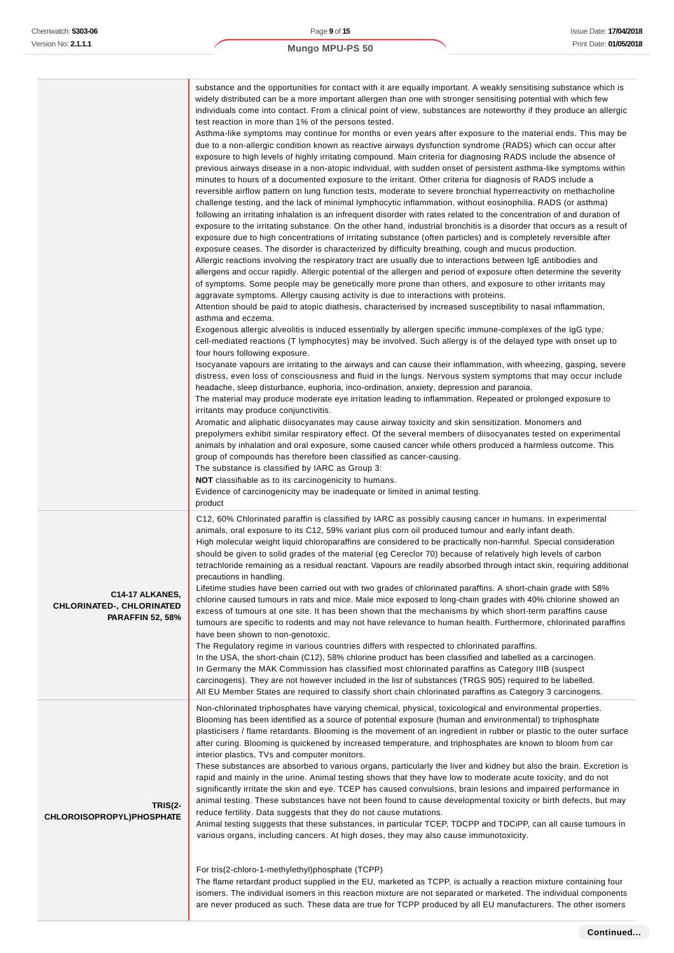|                                                                                | substance and the opportunities for contact with it are equally important. A weakly sensitising substance which is<br>widely distributed can be a more important allergen than one with stronger sensitising potential with which few<br>individuals come into contact. From a clinical point of view, substances are noteworthy if they produce an allergic<br>test reaction in more than 1% of the persons tested.<br>Asthma-like symptoms may continue for months or even years after exposure to the material ends. This may be<br>due to a non-allergic condition known as reactive airways dysfunction syndrome (RADS) which can occur after<br>exposure to high levels of highly irritating compound. Main criteria for diagnosing RADS include the absence of<br>previous airways disease in a non-atopic individual, with sudden onset of persistent asthma-like symptoms within<br>minutes to hours of a documented exposure to the irritant. Other criteria for diagnosis of RADS include a<br>reversible airflow pattern on lung function tests, moderate to severe bronchial hyperreactivity on methacholine<br>challenge testing, and the lack of minimal lymphocytic inflammation, without eosinophilia. RADS (or asthma)<br>following an irritating inhalation is an infrequent disorder with rates related to the concentration of and duration of<br>exposure to the irritating substance. On the other hand, industrial bronchitis is a disorder that occurs as a result of<br>exposure due to high concentrations of irritating substance (often particles) and is completely reversible after<br>exposure ceases. The disorder is characterized by difficulty breathing, cough and mucus production.<br>Allergic reactions involving the respiratory tract are usually due to interactions between IgE antibodies and<br>allergens and occur rapidly. Allergic potential of the allergen and period of exposure often determine the severity<br>of symptoms. Some people may be genetically more prone than others, and exposure to other irritants may<br>aggravate symptoms. Allergy causing activity is due to interactions with proteins.<br>Attention should be paid to atopic diathesis, characterised by increased susceptibility to nasal inflammation,<br>asthma and eczema.<br>Exogenous allergic alveolitis is induced essentially by allergen specific immune-complexes of the IgG type;<br>cell-mediated reactions (T lymphocytes) may be involved. Such allergy is of the delayed type with onset up to<br>four hours following exposure.<br>Isocyanate vapours are irritating to the airways and can cause their inflammation, with wheezing, gasping, severe<br>distress, even loss of consciousness and fluid in the lungs. Nervous system symptoms that may occur include<br>headache, sleep disturbance, euphoria, inco-ordination, anxiety, depression and paranoia.<br>The material may produce moderate eye irritation leading to inflammation. Repeated or prolonged exposure to<br>irritants may produce conjunctivitis.<br>Aromatic and aliphatic diisocyanates may cause airway toxicity and skin sensitization. Monomers and<br>prepolymers exhibit similar respiratory effect. Of the several members of diisocyanates tested on experimental<br>animals by inhalation and oral exposure, some caused cancer while others produced a harmless outcome. This<br>group of compounds has therefore been classified as cancer-causing.<br>The substance is classified by IARC as Group 3:<br><b>NOT</b> classifiable as to its carcinogenicity to humans.<br>Evidence of carcinogenicity may be inadequate or limited in animal testing.<br>product |
|--------------------------------------------------------------------------------|--------------------------------------------------------------------------------------------------------------------------------------------------------------------------------------------------------------------------------------------------------------------------------------------------------------------------------------------------------------------------------------------------------------------------------------------------------------------------------------------------------------------------------------------------------------------------------------------------------------------------------------------------------------------------------------------------------------------------------------------------------------------------------------------------------------------------------------------------------------------------------------------------------------------------------------------------------------------------------------------------------------------------------------------------------------------------------------------------------------------------------------------------------------------------------------------------------------------------------------------------------------------------------------------------------------------------------------------------------------------------------------------------------------------------------------------------------------------------------------------------------------------------------------------------------------------------------------------------------------------------------------------------------------------------------------------------------------------------------------------------------------------------------------------------------------------------------------------------------------------------------------------------------------------------------------------------------------------------------------------------------------------------------------------------------------------------------------------------------------------------------------------------------------------------------------------------------------------------------------------------------------------------------------------------------------------------------------------------------------------------------------------------------------------------------------------------------------------------------------------------------------------------------------------------------------------------------------------------------------------------------------------------------------------------------------------------------------------------------------------------------------------------------------------------------------------------------------------------------------------------------------------------------------------------------------------------------------------------------------------------------------------------------------------------------------------------------------------------------------------------------------------------------------------------------------------------------------------------------------------------------------------------------------------------------------------------------------------------------------------------------------------------------------------------------------------------------------------------------------------------------------------------------------------------------------------------------------------------------------------------------------------------------------------------------------------------|
| C14-17 ALKANES,<br><b>CHLORINATED-, CHLORINATED</b><br><b>PARAFFIN 52, 58%</b> | C12, 60% Chlorinated paraffin is classified by IARC as possibly causing cancer in humans. In experimental<br>animals, oral exposure to its C12, 59% variant plus corn oil produced tumour and early infant death.<br>High molecular weight liquid chloroparaffins are considered to be practically non-harmful. Special consideration<br>should be given to solid grades of the material (eg Cereclor 70) because of relatively high levels of carbon<br>tetrachloride remaining as a residual reactant. Vapours are readily absorbed through intact skin, requiring additional<br>precautions in handling.<br>Lifetime studies have been carried out with two grades of chlorinated paraffins. A short-chain grade with 58%<br>chlorine caused tumours in rats and mice. Male mice exposed to long-chain grades with 40% chlorine showed an<br>excess of tumours at one site. It has been shown that the mechanisms by which short-term paraffins cause<br>tumours are specific to rodents and may not have relevance to human health. Furthermore, chlorinated paraffins<br>have been shown to non-genotoxic.<br>The Regulatory regime in various countries differs with respected to chlorinated paraffins.<br>In the USA, the short-chain (C12), 58% chlorine product has been classified and labelled as a carcinogen.<br>In Germany the MAK Commission has classified most chlorinated paraffins as Category IIIB (suspect<br>carcinogens). They are not however included in the list of substances (TRGS 905) required to be labelled.<br>All EU Member States are required to classify short chain chlorinated paraffins as Category 3 carcinogens.                                                                                                                                                                                                                                                                                                                                                                                                                                                                                                                                                                                                                                                                                                                                                                                                                                                                                                                                                                                                                                                                                                                                                                                                                                                                                                                                                                                                                                                                                                                                                                                                                                                                                                                                                                                                                                                                                                                                                                                                                                      |
| <b>TRIS(2-</b><br>CHLOROISOPROPYL)PHOSPHATE                                    | Non-chlorinated triphosphates have varying chemical, physical, toxicological and environmental properties.<br>Blooming has been identified as a source of potential exposure (human and environmental) to triphosphate<br>plasticisers / flame retardants. Blooming is the movement of an ingredient in rubber or plastic to the outer surface<br>after curing. Blooming is quickened by increased temperature, and triphosphates are known to bloom from car<br>interior plastics, TVs and computer monitors.<br>These substances are absorbed to various organs, particularly the liver and kidney but also the brain. Excretion is<br>rapid and mainly in the urine. Animal testing shows that they have low to moderate acute toxicity, and do not<br>significantly irritate the skin and eye. TCEP has caused convulsions, brain lesions and impaired performance in<br>animal testing. These substances have not been found to cause developmental toxicity or birth defects, but may<br>reduce fertility. Data suggests that they do not cause mutations.<br>Animal testing suggests that these substances, in particular TCEP, TDCPP and TDCiPP, can all cause tumours in<br>various organs, including cancers. At high doses, they may also cause immunotoxicity.<br>For tris(2-chloro-1-methylethyl)phosphate (TCPP)<br>The flame retardant product supplied in the EU, marketed as TCPP, is actually a reaction mixture containing four<br>isomers. The individual isomers in this reaction mixture are not separated or marketed. The individual components                                                                                                                                                                                                                                                                                                                                                                                                                                                                                                                                                                                                                                                                                                                                                                                                                                                                                                                                                                                                                                                                                                                                                                                                                                                                                                                                                                                                                                                                                                                                                                                                                                                                                                                                                                                                                                                                                                                                                                                                                                                                                                                          |

are never produced as such. These data are true for TCPP produced by all EU manufacturers. The other isomers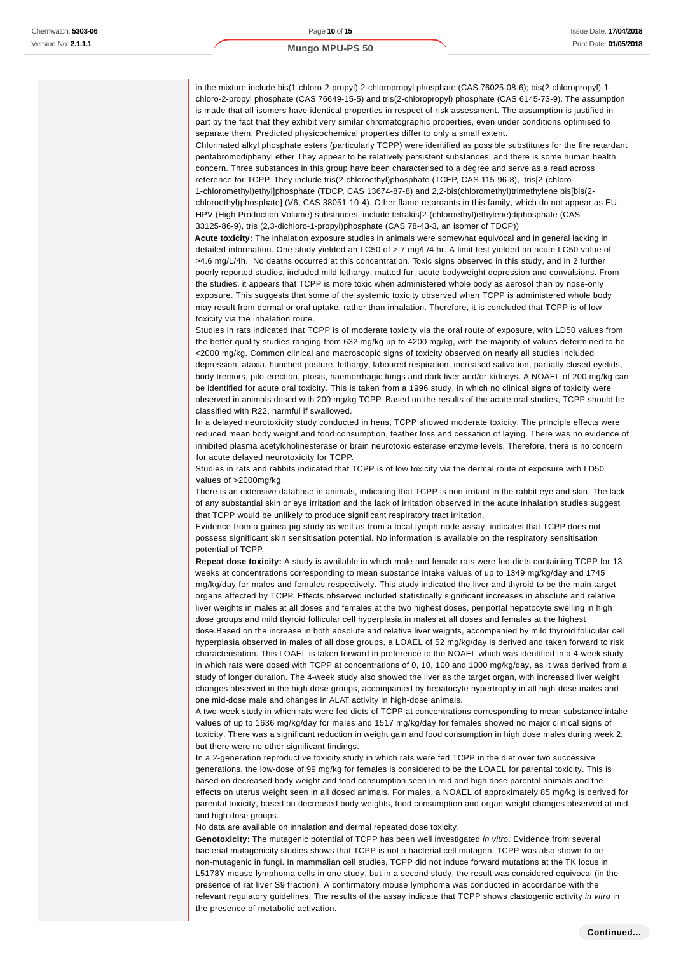in the mixture include bis(1-chloro-2-propyl)-2-chloropropyl phosphate (CAS 76025-08-6); bis(2-chloropropyl)-1 chloro-2-propyl phosphate (CAS 76649-15-5) and tris(2-chloropropyl) phosphate (CAS 6145-73-9). The assumption is made that all isomers have identical properties in respect of risk assessment. The assumption is justified in part by the fact that they exhibit very similar chromatographic properties, even under conditions optimised to separate them. Predicted physicochemical properties differ to only a small extent.

Chlorinated alkyl phosphate esters (particularly TCPP) were identified as possible substitutes for the fire retardant pentabromodiphenyl ether They appear to be relatively persistent substances, and there is some human health concern. Three substances in this group have been characterised to a degree and serve as a read across reference for TCPP. They include tris(2-chloroethyl)phosphate (TCEP, CAS 115-96-8), tris[2-(chloro-1-chloromethyl)ethyl]phosphate (TDCP, CAS 13674-87-8) and 2,2-bis(chloromethyl)trimethylene bis[bis(2 chloroethyl)phosphate] (V6, CAS 38051-10-4). Other flame retardants in this family, which do not appear as EU HPV (High Production Volume) substances, include tetrakis[2-(chloroethyl)ethylene)diphosphate (CAS 33125-86-9), tris (2,3-dichloro-1-propyl)phosphate (CAS 78-43-3, an isomer of TDCP))

**Acute toxicity:** The inhalation exposure studies in animals were somewhat equivocal and in general lacking in detailed information. One study yielded an LC50 of > 7 mg/L/4 hr. A limit test yielded an acute LC50 value of >4.6 mg/L/4h. No deaths occurred at this concentration. Toxic signs observed in this study, and in 2 further poorly reported studies, included mild lethargy, matted fur, acute bodyweight depression and convulsions. From the studies, it appears that TCPP is more toxic when administered whole body as aerosol than by nose-only exposure. This suggests that some of the systemic toxicity observed when TCPP is administered whole body may result from dermal or oral uptake, rather than inhalation. Therefore, it is concluded that TCPP is of low toxicity via the inhalation route.

Studies in rats indicated that TCPP is of moderate toxicity via the oral route of exposure, with LD50 values from the better quality studies ranging from 632 mg/kg up to 4200 mg/kg, with the majority of values determined to be <2000 mg/kg. Common clinical and macroscopic signs of toxicity observed on nearly all studies included depression, ataxia, hunched posture, lethargy, laboured respiration, increased salivation, partially closed eyelids, body tremors, pilo-erection, ptosis, haemorrhagic lungs and dark liver and/or kidneys. A NOAEL of 200 mg/kg can be identified for acute oral toxicity. This is taken from a 1996 study, in which no clinical signs of toxicity were observed in animals dosed with 200 mg/kg TCPP. Based on the results of the acute oral studies, TCPP should be classified with R22, harmful if swallowed.

In a delayed neurotoxicity study conducted in hens, TCPP showed moderate toxicity. The principle effects were reduced mean body weight and food consumption, feather loss and cessation of laying. There was no evidence of inhibited plasma acetylcholinesterase or brain neurotoxic esterase enzyme levels. Therefore, there is no concern for acute delayed neurotoxicity for TCPP.

Studies in rats and rabbits indicated that TCPP is of low toxicity via the dermal route of exposure with LD50 values of >2000mg/kg.

There is an extensive database in animals, indicating that TCPP is non-irritant in the rabbit eye and skin. The lack of any substantial skin or eye irritation and the lack of irritation observed in the acute inhalation studies suggest that TCPP would be unlikely to produce significant respiratory tract irritation.

Evidence from a guinea pig study as well as from a local lymph node assay, indicates that TCPP does not possess significant skin sensitisation potential. No information is available on the respiratory sensitisation potential of TCPP.

**Repeat dose toxicity:** A study is available in which male and female rats were fed diets containing TCPP for 13 weeks at concentrations corresponding to mean substance intake values of up to 1349 mg/kg/day and 1745 mg/kg/day for males and females respectively. This study indicated the liver and thyroid to be the main target organs affected by TCPP. Effects observed included statistically significant increases in absolute and relative liver weights in males at all doses and females at the two highest doses, periportal hepatocyte swelling in high dose groups and mild thyroid follicular cell hyperplasia in males at all doses and females at the highest dose.Based on the increase in both absolute and relative liver weights, accompanied by mild thyroid follicular cell hyperplasia observed in males of all dose groups, a LOAEL of 52 mg/kg/day is derived and taken forward to risk characterisation. This LOAEL is taken forward in preference to the NOAEL which was identified in a 4-week study

in which rats were dosed with TCPP at concentrations of 0, 10, 100 and 1000 mg/kg/day, as it was derived from a study of longer duration. The 4-week study also showed the liver as the target organ, with increased liver weight changes observed in the high dose groups, accompanied by hepatocyte hypertrophy in all high-dose males and one mid-dose male and changes in ALAT activity in high-dose animals.

A two-week study in which rats were fed diets of TCPP at concentrations corresponding to mean substance intake values of up to 1636 mg/kg/day for males and 1517 mg/kg/day for females showed no major clinical signs of toxicity. There was a significant reduction in weight gain and food consumption in high dose males during week 2, but there were no other significant findings.

In a 2-generation reproductive toxicity study in which rats were fed TCPP in the diet over two successive generations, the low-dose of 99 mg/kg for females is considered to be the LOAEL for parental toxicity. This is based on decreased body weight and food consumption seen in mid and high dose parental animals and the effects on uterus weight seen in all dosed animals. For males, a NOAEL of approximately 85 mg/kg is derived for parental toxicity, based on decreased body weights, food consumption and organ weight changes observed at mid and high dose groups.

No data are available on inhalation and dermal repeated dose toxicity.

**Genotoxicity:** The mutagenic potential of TCPP has been well investigated in vitro. Evidence from several bacterial mutagenicity studies shows that TCPP is not a bacterial cell mutagen. TCPP was also shown to be non-mutagenic in fungi. In mammalian cell studies, TCPP did not induce forward mutations at the TK locus in L5178Y mouse lymphoma cells in one study, but in a second study, the result was considered equivocal (in the presence of rat liver S9 fraction). A confirmatory mouse lymphoma was conducted in accordance with the relevant regulatory guidelines. The results of the assay indicate that TCPP shows clastogenic activity in vitro in the presence of metabolic activation.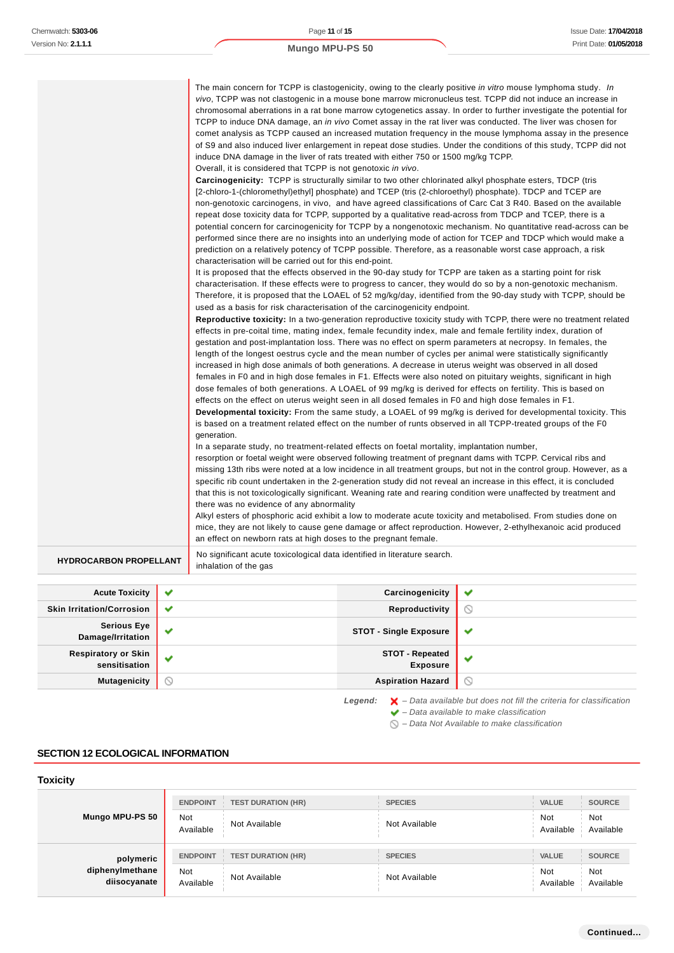|                               | The main concern for TCPP is clastogenicity, owing to the clearly positive in vitro mouse lymphoma study. In<br>vivo, TCPP was not clastogenic in a mouse bone marrow micronucleus test. TCPP did not induce an increase in<br>chromosomal aberrations in a rat bone marrow cytogenetics assay. In order to further investigate the potential for<br>TCPP to induce DNA damage, an <i>in vivo</i> Comet assay in the rat liver was conducted. The liver was chosen for<br>comet analysis as TCPP caused an increased mutation frequency in the mouse lymphoma assay in the presence<br>of S9 and also induced liver enlargement in repeat dose studies. Under the conditions of this study, TCPP did not<br>induce DNA damage in the liver of rats treated with either 750 or 1500 mg/kg TCPP.<br>Overall, it is considered that TCPP is not genotoxic in vivo.<br><b>Carcinogenicity:</b> TCPP is structurally similar to two other chlorinated alkyl phosphate esters, TDCP (tris<br>[2-chloro-1-(chloromethyl)ethyl] phosphate) and TCEP (tris (2-chloroethyl) phosphate). TDCP and TCEP are<br>non-genotoxic carcinogens, in vivo, and have agreed classifications of Carc Cat 3 R40. Based on the available<br>repeat dose toxicity data for TCPP, supported by a qualitative read-across from TDCP and TCEP, there is a<br>potential concern for carcinogenicity for TCPP by a nongenotoxic mechanism. No quantitative read-across can be<br>performed since there are no insights into an underlying mode of action for TCEP and TDCP which would make a<br>prediction on a relatively potency of TCPP possible. Therefore, as a reasonable worst case approach, a risk<br>characterisation will be carried out for this end-point.<br>It is proposed that the effects observed in the 90-day study for TCPP are taken as a starting point for risk<br>characterisation. If these effects were to progress to cancer, they would do so by a non-genotoxic mechanism.<br>Therefore, it is proposed that the LOAEL of 52 mg/kg/day, identified from the 90-day study with TCPP, should be<br>used as a basis for risk characterisation of the carcinogenicity endpoint.<br>Reproductive toxicity: In a two-generation reproductive toxicity study with TCPP, there were no treatment related<br>effects in pre-coital time, mating index, female fecundity index, male and female fertility index, duration of<br>gestation and post-implantation loss. There was no effect on sperm parameters at necropsy. In females, the<br>length of the longest oestrus cycle and the mean number of cycles per animal were statistically significantly |
|-------------------------------|----------------------------------------------------------------------------------------------------------------------------------------------------------------------------------------------------------------------------------------------------------------------------------------------------------------------------------------------------------------------------------------------------------------------------------------------------------------------------------------------------------------------------------------------------------------------------------------------------------------------------------------------------------------------------------------------------------------------------------------------------------------------------------------------------------------------------------------------------------------------------------------------------------------------------------------------------------------------------------------------------------------------------------------------------------------------------------------------------------------------------------------------------------------------------------------------------------------------------------------------------------------------------------------------------------------------------------------------------------------------------------------------------------------------------------------------------------------------------------------------------------------------------------------------------------------------------------------------------------------------------------------------------------------------------------------------------------------------------------------------------------------------------------------------------------------------------------------------------------------------------------------------------------------------------------------------------------------------------------------------------------------------------------------------------------------------------------------------------------------------------------------------------------------------------------------------------------------------------------------------------------------------------------------------------------------------------------------------------------------------------------------------------------------------------------------------------------------------------------------------------------------------------------------------------------------------------------------------------------------------------------------------------|
|                               | increased in high dose animals of both generations. A decrease in uterus weight was observed in all dosed<br>females in F0 and in high dose females in F1. Effects were also noted on pituitary weights, significant in high<br>dose females of both generations. A LOAEL of 99 mg/kg is derived for effects on fertility. This is based on<br>effects on the effect on uterus weight seen in all dosed females in F0 and high dose females in F1.<br><b>Developmental toxicity:</b> From the same study, a LOAEL of 99 mg/kg is derived for developmental toxicity. This                                                                                                                                                                                                                                                                                                                                                                                                                                                                                                                                                                                                                                                                                                                                                                                                                                                                                                                                                                                                                                                                                                                                                                                                                                                                                                                                                                                                                                                                                                                                                                                                                                                                                                                                                                                                                                                                                                                                                                                                                                                                          |
|                               | is based on a treatment related effect on the number of runts observed in all TCPP-treated groups of the F0<br>generation.                                                                                                                                                                                                                                                                                                                                                                                                                                                                                                                                                                                                                                                                                                                                                                                                                                                                                                                                                                                                                                                                                                                                                                                                                                                                                                                                                                                                                                                                                                                                                                                                                                                                                                                                                                                                                                                                                                                                                                                                                                                                                                                                                                                                                                                                                                                                                                                                                                                                                                                         |
|                               | In a separate study, no treatment-related effects on foetal mortality, implantation number,<br>resorption or foetal weight were observed following treatment of pregnant dams with TCPP. Cervical ribs and<br>missing 13th ribs were noted at a low incidence in all treatment groups, but not in the control group. However, as a<br>specific rib count undertaken in the 2-generation study did not reveal an increase in this effect, it is concluded<br>that this is not toxicologically significant. Weaning rate and rearing condition were unaffected by treatment and<br>there was no evidence of any abnormality                                                                                                                                                                                                                                                                                                                                                                                                                                                                                                                                                                                                                                                                                                                                                                                                                                                                                                                                                                                                                                                                                                                                                                                                                                                                                                                                                                                                                                                                                                                                                                                                                                                                                                                                                                                                                                                                                                                                                                                                                          |
|                               | Alkyl esters of phosphoric acid exhibit a low to moderate acute toxicity and metabolised. From studies done on<br>mice, they are not likely to cause gene damage or affect reproduction. However, 2-ethylhexanoic acid produced<br>an effect on newborn rats at high doses to the pregnant female.                                                                                                                                                                                                                                                                                                                                                                                                                                                                                                                                                                                                                                                                                                                                                                                                                                                                                                                                                                                                                                                                                                                                                                                                                                                                                                                                                                                                                                                                                                                                                                                                                                                                                                                                                                                                                                                                                                                                                                                                                                                                                                                                                                                                                                                                                                                                                 |
| <b>HYDROCARBON PROPELLANT</b> | No significant acute toxicological data identified in literature search.<br>inhalation of the gas                                                                                                                                                                                                                                                                                                                                                                                                                                                                                                                                                                                                                                                                                                                                                                                                                                                                                                                                                                                                                                                                                                                                                                                                                                                                                                                                                                                                                                                                                                                                                                                                                                                                                                                                                                                                                                                                                                                                                                                                                                                                                                                                                                                                                                                                                                                                                                                                                                                                                                                                                  |

**Acute Toxicity Carcinogenicity**  $\checkmark$ **Skin Irritation/Corrosion Reproductivity**  $\circledcirc$ **Serious Eye**<br>Damage/Irritation **Damage STOT - Single Exposure**  $\checkmark$ **Respiratory or Skin STOT - Repeated**  $\checkmark$  $\checkmark$ **sensitisation Exposure Mutagenicity Aspiration Hazard**  $\odot$ 

Legend:  $\mathsf{X}$  - Data available but does not fill the criteria for classification

- $\blacktriangleright$  Data available to make classification
- $\bigcirc$  Data Not Available to make classification

#### **SECTION 12 ECOLOGICAL INFORMATION**

## **Toxicity**

| Mungo MPU-PS 50                              | <b>ENDPOINT</b>         | <b>TEST DURATION (HR)</b> | <b>SPECIES</b> | <b>VALUE</b>            | <b>SOURCE</b>           |
|----------------------------------------------|-------------------------|---------------------------|----------------|-------------------------|-------------------------|
|                                              | <b>Not</b><br>Available | Not Available             | Not Available  | <b>Not</b><br>Available | <b>Not</b><br>Available |
| polymeric<br>diphenylmethane<br>diisocyanate | <b>ENDPOINT</b>         | <b>TEST DURATION (HR)</b> | <b>SPECIES</b> | <b>VALUE</b>            | <b>SOURCE</b>           |
|                                              | <b>Not</b><br>Available | Not Available             | Not Available  | Not<br>Available        | Not<br>Available        |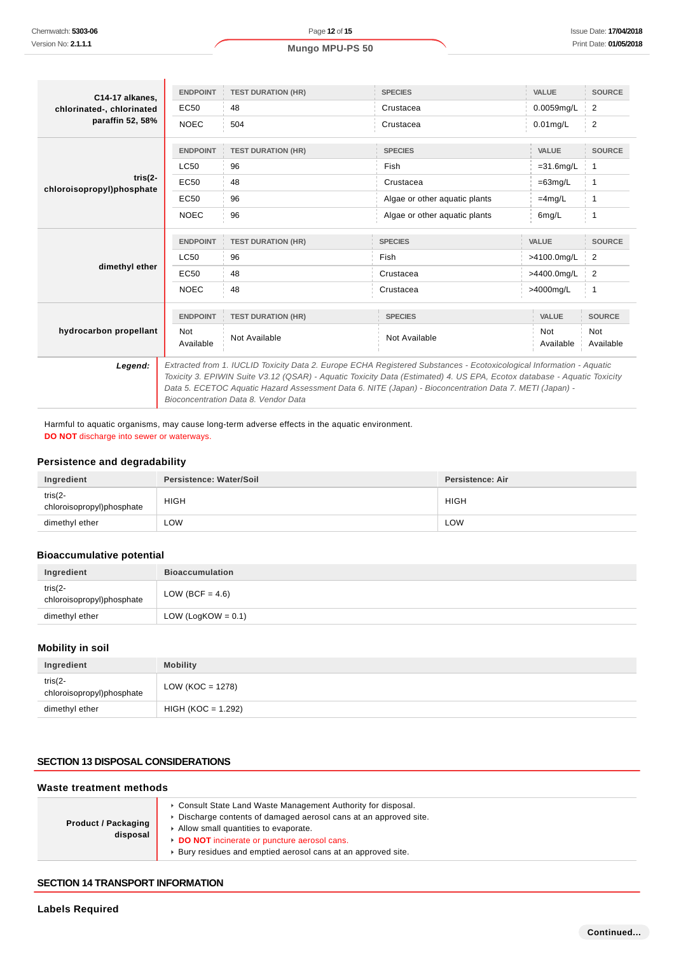| C14-17 alkanes.<br>chlorinated-, chlorinated | <b>ENDPOINT</b>                                                                                                                                 | <b>TEST DURATION (HR)</b> | <b>SPECIES</b>                | VALUE                   | <b>SOURCE</b>    |
|----------------------------------------------|-------------------------------------------------------------------------------------------------------------------------------------------------|---------------------------|-------------------------------|-------------------------|------------------|
|                                              | EC50                                                                                                                                            | 48                        | Crustacea                     | 0.0059mg/L              | 2                |
| paraffin 52, 58%                             | <b>NOEC</b>                                                                                                                                     | 504                       | Crustacea                     | $0.01$ mg/L             | $\overline{2}$   |
|                                              | <b>ENDPOINT</b>                                                                                                                                 | <b>TEST DURATION (HR)</b> | <b>SPECIES</b>                | VALUE                   | <b>SOURCE</b>    |
|                                              | <b>LC50</b>                                                                                                                                     | 96                        | Fish                          | $=31.6$ mg/L            | $\overline{1}$   |
| tris(2-<br>chloroisopropyl)phosphate         | EC50                                                                                                                                            | 48                        | Crustacea                     | $=63mg/L$               | $\overline{1}$   |
|                                              | <b>EC50</b>                                                                                                                                     | 96                        | Algae or other aquatic plants | $=4$ mg/L               | 1                |
|                                              | <b>NOEC</b>                                                                                                                                     | 96                        | Algae or other aquatic plants | 6mg/L                   | $\overline{1}$   |
| dimethyl ether                               | <b>ENDPOINT</b>                                                                                                                                 | <b>TEST DURATION (HR)</b> | <b>SPECIES</b>                | VALUE                   | <b>SOURCE</b>    |
|                                              | LC50                                                                                                                                            | 96                        | Fish                          | >4100.0mg/L             | $\overline{2}$   |
|                                              | EC50                                                                                                                                            | 48                        | Crustacea                     | >4400.0mg/L             | $\overline{2}$   |
|                                              | <b>NOEC</b>                                                                                                                                     | 48                        | Crustacea                     | >4000mg/L               | $\overline{1}$   |
|                                              | <b>ENDPOINT</b>                                                                                                                                 | <b>TEST DURATION (HR)</b> | <b>SPECIES</b>                | VALUE                   | <b>SOURCE</b>    |
| hydrocarbon propellant                       | <b>Not</b><br>Available                                                                                                                         | Not Available             | Not Available                 | <b>Not</b><br>Available | Not<br>Available |
| Legend:                                      | Extracted from 1. IUCLID Toxicity Data 2. Europe ECHA Registered Substances - Ecotoxicological Information - Aguatic                            |                           |                               |                         |                  |
|                                              | Toxicity 3. EPIWIN Suite V3.12 (QSAR) - Aquatic Toxicity Data (Estimated) 4. US EPA, Ecotox database - Aquatic Toxicity                         |                           |                               |                         |                  |
|                                              | Data 5. ECETOC Aquatic Hazard Assessment Data 6. NITE (Japan) - Bioconcentration Data 7. METI (Japan) -<br>Bioconcentration Data 8. Vendor Data |                           |                               |                         |                  |

Harmful to aquatic organisms, may cause long-term adverse effects in the aquatic environment. **DO NOT** discharge into sewer or waterways.

## **Persistence and degradability**

| Ingredient                               | Persistence: Water/Soil | Persistence: Air |
|------------------------------------------|-------------------------|------------------|
| tris $(2 -$<br>chloroisopropyl)phosphate | <b>HIGH</b>             | <b>HIGH</b>      |
| dimethyl ether                           | ∟OW                     | LOW              |

## **Bioaccumulative potential**

| Ingredient                               | <b>Bioaccumulation</b> |
|------------------------------------------|------------------------|
| tris $(2 -$<br>chloroisopropyl)phosphate | LOW (BCF = $4.6$ )     |
| dimethyl ether                           | LOW (LogKOW = $0.1$ )  |

## **Mobility in soil**

| Ingredient                               | <b>Mobility</b>      |
|------------------------------------------|----------------------|
| tris $(2 -$<br>chloroisopropyl)phosphate | LOW (KOC = 1278)     |
| dimethyl ether                           | $HIGH (KOC = 1.292)$ |

# **SECTION 13 DISPOSAL CONSIDERATIONS**

#### **Waste treatment methods**

| <b>Product / Packaging</b><br>disposal | Consult State Land Waste Management Authority for disposal.<br>Discharge contents of damaged aerosol cans at an approved site.<br>Allow small quantities to evaporate.<br>DO NOT incinerate or puncture aerosol cans.<br>Bury residues and emptied aerosol cans at an approved site. |
|----------------------------------------|--------------------------------------------------------------------------------------------------------------------------------------------------------------------------------------------------------------------------------------------------------------------------------------|
|----------------------------------------|--------------------------------------------------------------------------------------------------------------------------------------------------------------------------------------------------------------------------------------------------------------------------------------|

#### **SECTION 14 TRANSPORT INFORMATION**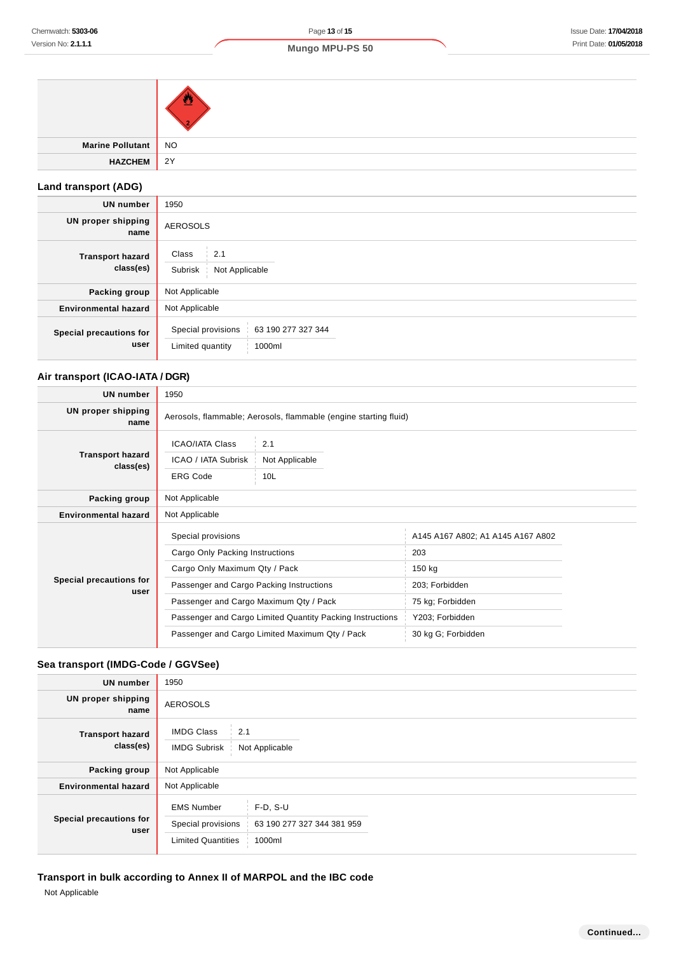| Marine Pollutant NO |  |
|---------------------|--|
| HAZCHEM 2Y          |  |

# **Land transport (ADG)**

| <b>UN number</b>                     | 1950                                                                   |  |  |
|--------------------------------------|------------------------------------------------------------------------|--|--|
| <b>UN proper shipping</b><br>name    | <b>AEROSOLS</b>                                                        |  |  |
| <b>Transport hazard</b><br>class(es) | Class<br>2.1<br>Subrisk<br>Not Applicable                              |  |  |
| Packing group                        | Not Applicable                                                         |  |  |
| <b>Environmental hazard</b>          | Not Applicable                                                         |  |  |
| Special precautions for<br>user      | Special provisions<br>63 190 277 327 344<br>Limited quantity<br>1000ml |  |  |

# **Air transport (ICAO-IATA / DGR)**

| <b>UN number</b>                     | 1950                                                                                             |  |                                   |  |
|--------------------------------------|--------------------------------------------------------------------------------------------------|--|-----------------------------------|--|
| UN proper shipping<br>name           | Aerosols, flammable; Aerosols, flammable (engine starting fluid)                                 |  |                                   |  |
| <b>Transport hazard</b><br>class(es) | <b>ICAO/IATA Class</b><br>2.1<br>ICAO / IATA Subrisk<br>Not Applicable<br><b>ERG Code</b><br>10L |  |                                   |  |
| Packing group                        | Not Applicable                                                                                   |  |                                   |  |
| <b>Environmental hazard</b>          | Not Applicable                                                                                   |  |                                   |  |
|                                      | Special provisions                                                                               |  | A145 A167 A802; A1 A145 A167 A802 |  |
|                                      | Cargo Only Packing Instructions                                                                  |  | 203                               |  |
| Special precautions for<br>user      | Cargo Only Maximum Qty / Pack                                                                    |  | 150 kg                            |  |
|                                      | Passenger and Cargo Packing Instructions                                                         |  | 203; Forbidden                    |  |
|                                      | Passenger and Cargo Maximum Qty / Pack                                                           |  | 75 kg; Forbidden                  |  |
|                                      | Passenger and Cargo Limited Quantity Packing Instructions                                        |  | Y203; Forbidden                   |  |
|                                      | Passenger and Cargo Limited Maximum Qty / Pack                                                   |  | 30 kg G; Forbidden                |  |

# **Sea transport (IMDG-Code / GGVSee)**

| UN number                            | 1950                                                                 |                                                    |  |
|--------------------------------------|----------------------------------------------------------------------|----------------------------------------------------|--|
| <b>UN proper shipping</b><br>name    | <b>AEROSOLS</b>                                                      |                                                    |  |
| <b>Transport hazard</b><br>class(es) | <b>IMDG Class</b><br>2.1<br><b>IMDG Subrisk</b><br>Not Applicable    |                                                    |  |
| Packing group                        | Not Applicable                                                       |                                                    |  |
| <b>Environmental hazard</b>          | Not Applicable                                                       |                                                    |  |
| Special precautions for<br>user      | <b>EMS Number</b><br>Special provisions<br><b>Limited Quantities</b> | $F-D, S-U$<br>63 190 277 327 344 381 959<br>1000ml |  |

# **Transport in bulk according to Annex II of MARPOL and the IBC code**

Not Applicable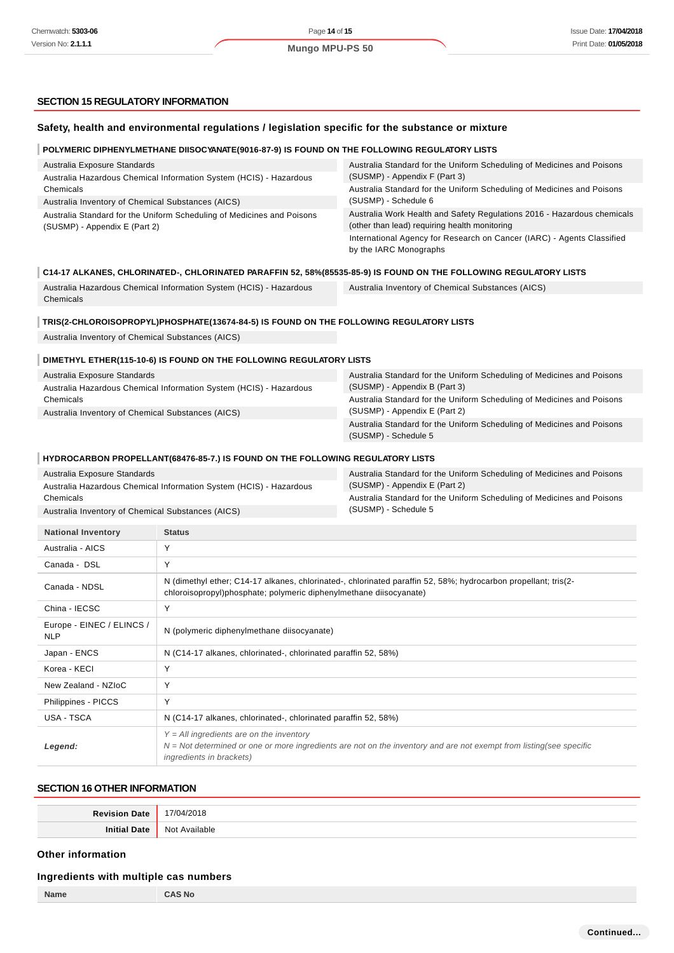# **SECTION 15 REGULATORY INFORMATION**

|                                                                                                    | Safety, health and environmental regulations / legislation specific for the substance or mixture                                                                                                |                                                                                                                          |  |
|----------------------------------------------------------------------------------------------------|-------------------------------------------------------------------------------------------------------------------------------------------------------------------------------------------------|--------------------------------------------------------------------------------------------------------------------------|--|
|                                                                                                    | POLYMERIC DIPHENYLMETHANE DIISOCYANATE(9016-87-9) IS FOUND ON THE FOLLOWING REGULATORY LISTS                                                                                                    |                                                                                                                          |  |
| Australia Exposure Standards<br>Australia Hazardous Chemical Information System (HCIS) - Hazardous |                                                                                                                                                                                                 | Australia Standard for the Uniform Scheduling of Medicines and Poisons<br>(SUSMP) - Appendix F (Part 3)                  |  |
| Chemicals<br>Australia Inventory of Chemical Substances (AICS)                                     |                                                                                                                                                                                                 | Australia Standard for the Uniform Scheduling of Medicines and Poisons<br>(SUSMP) - Schedule 6                           |  |
| (SUSMP) - Appendix E (Part 2)                                                                      | Australia Standard for the Uniform Scheduling of Medicines and Poisons                                                                                                                          | Australia Work Health and Safety Regulations 2016 - Hazardous chemicals<br>(other than lead) requiring health monitoring |  |
|                                                                                                    |                                                                                                                                                                                                 | International Agency for Research on Cancer (IARC) - Agents Classified<br>by the IARC Monographs                         |  |
|                                                                                                    |                                                                                                                                                                                                 | C14-17 ALKANES, CHLORINATED-, CHLORINATED PARAFFIN 52, 58%(85535-85-9) IS FOUND ON THE FOLLOWING REGULATORY LISTS        |  |
| Chemicals                                                                                          | Australia Hazardous Chemical Information System (HCIS) - Hazardous                                                                                                                              | Australia Inventory of Chemical Substances (AICS)                                                                        |  |
|                                                                                                    | TRIS(2-CHLOROISOPROPYL)PHOSPHATE(13674-84-5) IS FOUND ON THE FOLLOWING REGULATORY LISTS                                                                                                         |                                                                                                                          |  |
| Australia Inventory of Chemical Substances (AICS)                                                  |                                                                                                                                                                                                 |                                                                                                                          |  |
|                                                                                                    | DIMETHYL ETHER(115-10-6) IS FOUND ON THE FOLLOWING REGULATORY LISTS                                                                                                                             |                                                                                                                          |  |
| Australia Exposure Standards                                                                       |                                                                                                                                                                                                 | Australia Standard for the Uniform Scheduling of Medicines and Poisons                                                   |  |
|                                                                                                    | Australia Hazardous Chemical Information System (HCIS) - Hazardous                                                                                                                              | (SUSMP) - Appendix B (Part 3)                                                                                            |  |
| Chemicals<br>Australia Inventory of Chemical Substances (AICS)                                     |                                                                                                                                                                                                 | Australia Standard for the Uniform Scheduling of Medicines and Poisons<br>(SUSMP) - Appendix E (Part 2)                  |  |
|                                                                                                    |                                                                                                                                                                                                 | Australia Standard for the Uniform Scheduling of Medicines and Poisons<br>(SUSMP) - Schedule 5                           |  |
|                                                                                                    | HYDROCARBON PROPELLANT(68476-85-7.) IS FOUND ON THE FOLLOWING REGULATORY LISTS                                                                                                                  |                                                                                                                          |  |
| Australia Exposure Standards                                                                       |                                                                                                                                                                                                 | Australia Standard for the Uniform Scheduling of Medicines and Poisons                                                   |  |
|                                                                                                    | Australia Hazardous Chemical Information System (HCIS) - Hazardous                                                                                                                              | (SUSMP) - Appendix E (Part 2)                                                                                            |  |
| Chemicals<br>Australia Inventory of Chemical Substances (AICS)                                     |                                                                                                                                                                                                 | Australia Standard for the Uniform Scheduling of Medicines and Poisons<br>(SUSMP) - Schedule 5                           |  |
| <b>National Inventory</b>                                                                          | <b>Status</b>                                                                                                                                                                                   |                                                                                                                          |  |
| Australia - AICS                                                                                   | Υ                                                                                                                                                                                               |                                                                                                                          |  |
| Canada - DSL                                                                                       | Y                                                                                                                                                                                               |                                                                                                                          |  |
| Canada - NDSL                                                                                      | chloroisopropyl)phosphate; polymeric diphenylmethane diisocyanate)                                                                                                                              | N (dimethyl ether; C14-17 alkanes, chlorinated-, chlorinated paraffin 52, 58%; hydrocarbon propellant; tris(2-           |  |
| China - IECSC                                                                                      | Υ                                                                                                                                                                                               |                                                                                                                          |  |
| Europe - EINEC / ELINCS /<br><b>NLP</b>                                                            | N (polymeric diphenylmethane diisocyanate)                                                                                                                                                      |                                                                                                                          |  |
| Japan - ENCS                                                                                       | N (C14-17 alkanes, chlorinated-, chlorinated paraffin 52, 58%)                                                                                                                                  |                                                                                                                          |  |
| Korea - KECI                                                                                       | Υ                                                                                                                                                                                               |                                                                                                                          |  |
| New Zealand - NZIoC                                                                                | Y                                                                                                                                                                                               |                                                                                                                          |  |
| Philippines - PICCS                                                                                | Υ                                                                                                                                                                                               |                                                                                                                          |  |
| USA - TSCA                                                                                         | N (C14-17 alkanes, chlorinated-, chlorinated paraffin 52, 58%)                                                                                                                                  |                                                                                                                          |  |
| Legend:                                                                                            | $Y = All$ ingredients are on the inventory<br>$N = Not$ determined or one or more ingredients are not on the inventory and are not exempt from listing(see specific<br>ingredients in brackets) |                                                                                                                          |  |

# **SECTION 16 OTHER INFORMATION**

| <b>Povicic</b><br>Date | 1710<br>4/2018<br>ìД |
|------------------------|----------------------|
| Initi                  | ≅lable               |
| Date                   | N <sub>Io</sub>      |
|                        | $\mathbf{v}$         |

## **Other information**

#### **Ingredients with multiple cas numbers**

| $m_{\rm g}$ , carente main manipic cae namicole |               |  |
|-------------------------------------------------|---------------|--|
| Name                                            | <b>CAS No</b> |  |